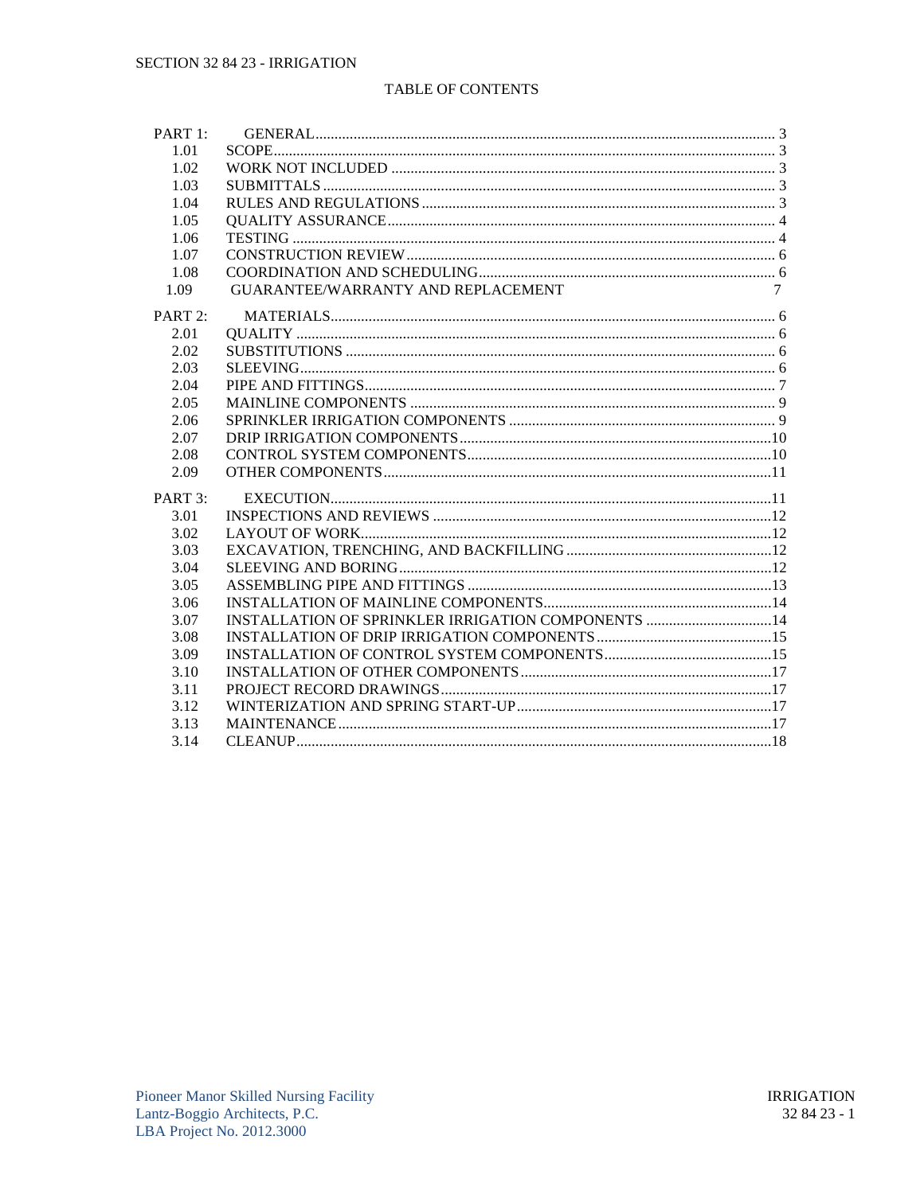# TABLE OF CONTENTS

| PART 1: |                                                    |                |
|---------|----------------------------------------------------|----------------|
| 1.01    |                                                    |                |
| 1.02    |                                                    |                |
| 1.03    |                                                    |                |
| 1.04    |                                                    |                |
| 1.05    |                                                    |                |
| 1.06    |                                                    |                |
| 1.07    |                                                    |                |
| 1.08    |                                                    |                |
| 1.09    | GUARANTEE/WARRANTY AND REPLACEMENT                 | $\overline{7}$ |
| PART 2: |                                                    |                |
| 2.01    |                                                    |                |
| 2.02    |                                                    |                |
| 2.03    |                                                    |                |
| 2.04    |                                                    |                |
| 2.05    |                                                    |                |
| 2.06    |                                                    |                |
| 2.07    |                                                    |                |
| 2.08    |                                                    |                |
| 2.09    |                                                    |                |
| PART 3: |                                                    |                |
| 3.01    |                                                    |                |
| 3.02    |                                                    |                |
| 3.03    |                                                    |                |
| 3.04    |                                                    |                |
| 3.05    |                                                    |                |
| 3.06    |                                                    |                |
| 3.07    | INSTALLATION OF SPRINKLER IRRIGATION COMPONENTS 14 |                |
| 3.08    |                                                    |                |
| 3.09    |                                                    |                |
| 3.10    |                                                    |                |
| 3.11    |                                                    |                |
| 3.12    |                                                    |                |
| 3.13    |                                                    |                |
| 3.14    |                                                    |                |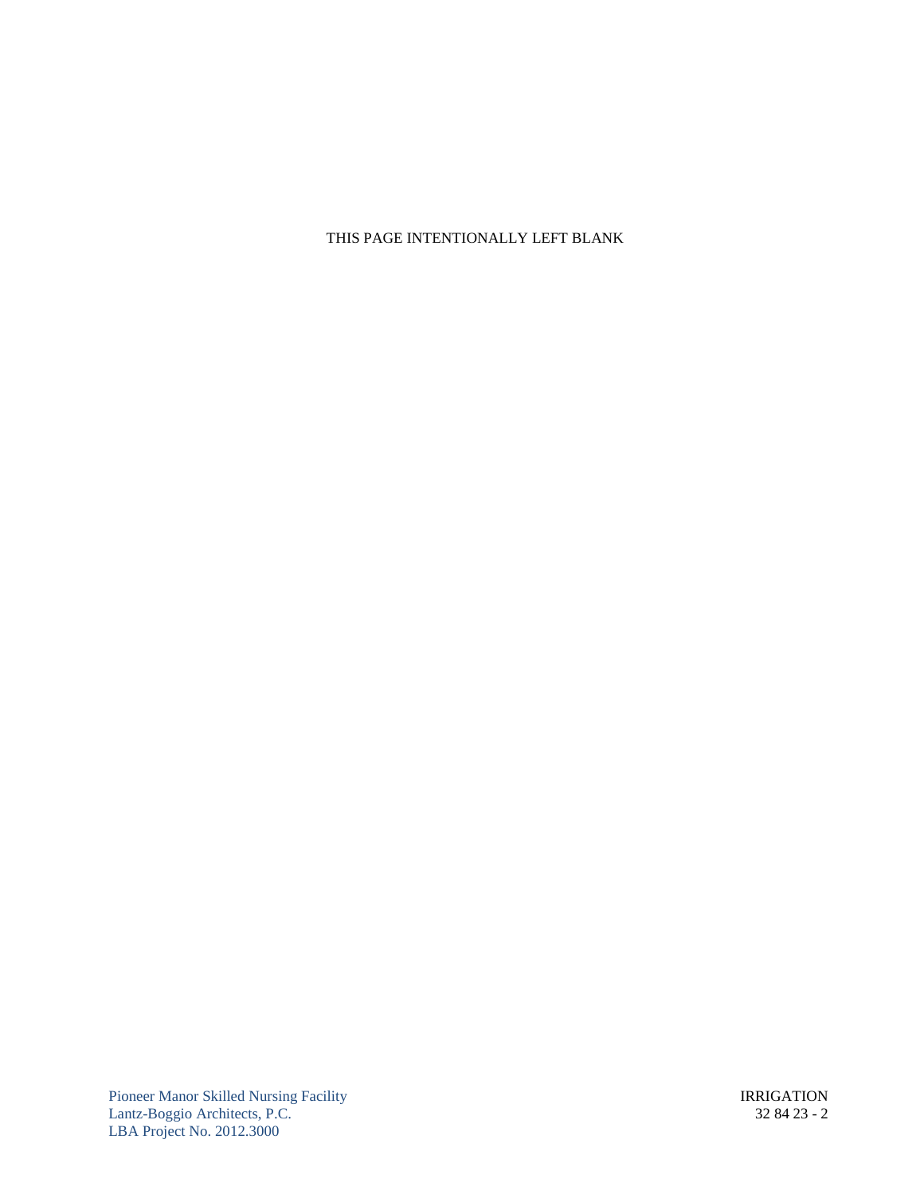# THIS PAGE INTENTIONALLY LEFT BLANK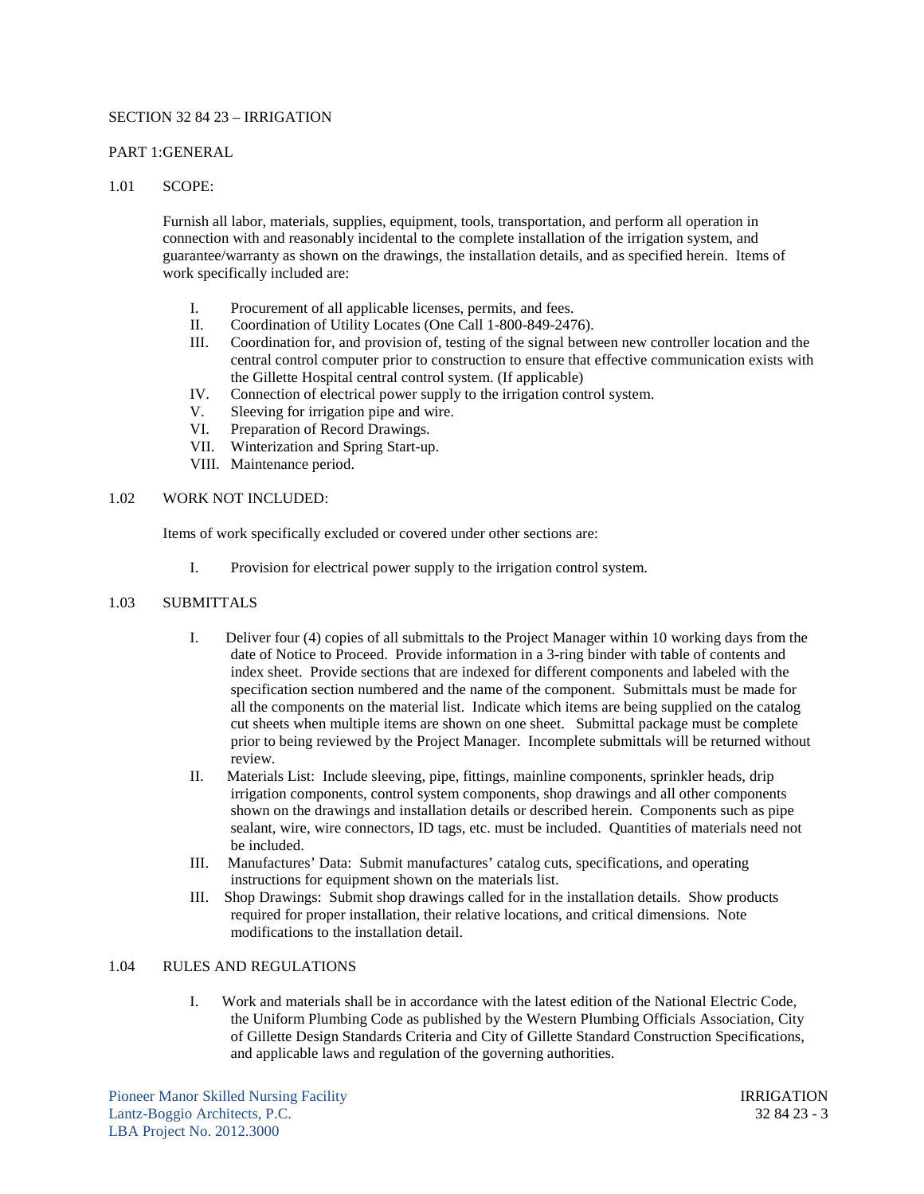# SECTION 32 84 23 – IRRIGATION

#### PART 1:GENERAL

#### 1.01 SCOPE:

Furnish all labor, materials, supplies, equipment, tools, transportation, and perform all operation in connection with and reasonably incidental to the complete installation of the irrigation system, and guarantee/warranty as shown on the drawings, the installation details, and as specified herein. Items of work specifically included are:

- I. Procurement of all applicable licenses, permits, and fees.
- II. Coordination of Utility Locates (One Call 1-800-849-2476).<br>III. Coordination for, and provision of, testing of the signal betw
- Coordination for, and provision of, testing of the signal between new controller location and the central control computer prior to construction to ensure that effective communication exists with the Gillette Hospital central control system. (If applicable)
- IV. Connection of electrical power supply to the irrigation control system.
- V. Sleeving for irrigation pipe and wire.
- VI. Preparation of Record Drawings.
- VII. Winterization and Spring Start-up.
- VIII. Maintenance period.

#### 1.02 WORK NOT INCLUDED:

Items of work specifically excluded or covered under other sections are:

I. Provision for electrical power supply to the irrigation control system.

## 1.03 SUBMITTALS

- I. Deliver four (4) copies of all submittals to the Project Manager within 10 working days from the date of Notice to Proceed. Provide information in a 3-ring binder with table of contents and index sheet. Provide sections that are indexed for different components and labeled with the specification section numbered and the name of the component. Submittals must be made for all the components on the material list. Indicate which items are being supplied on the catalog cut sheets when multiple items are shown on one sheet. Submittal package must be complete prior to being reviewed by the Project Manager. Incomplete submittals will be returned without review.
- II. Materials List: Include sleeving, pipe, fittings, mainline components, sprinkler heads, drip irrigation components, control system components, shop drawings and all other components shown on the drawings and installation details or described herein. Components such as pipe sealant, wire, wire connectors, ID tags, etc. must be included. Quantities of materials need not be included.
- III. Manufactures' Data: Submit manufactures' catalog cuts, specifications, and operating instructions for equipment shown on the materials list.
- III. Shop Drawings: Submit shop drawings called for in the installation details. Show products required for proper installation, their relative locations, and critical dimensions. Note modifications to the installation detail.

# 1.04 RULES AND REGULATIONS

I. Work and materials shall be in accordance with the latest edition of the National Electric Code, the Uniform Plumbing Code as published by the Western Plumbing Officials Association, City of Gillette Design Standards Criteria and City of Gillette Standard Construction Specifications, and applicable laws and regulation of the governing authorities.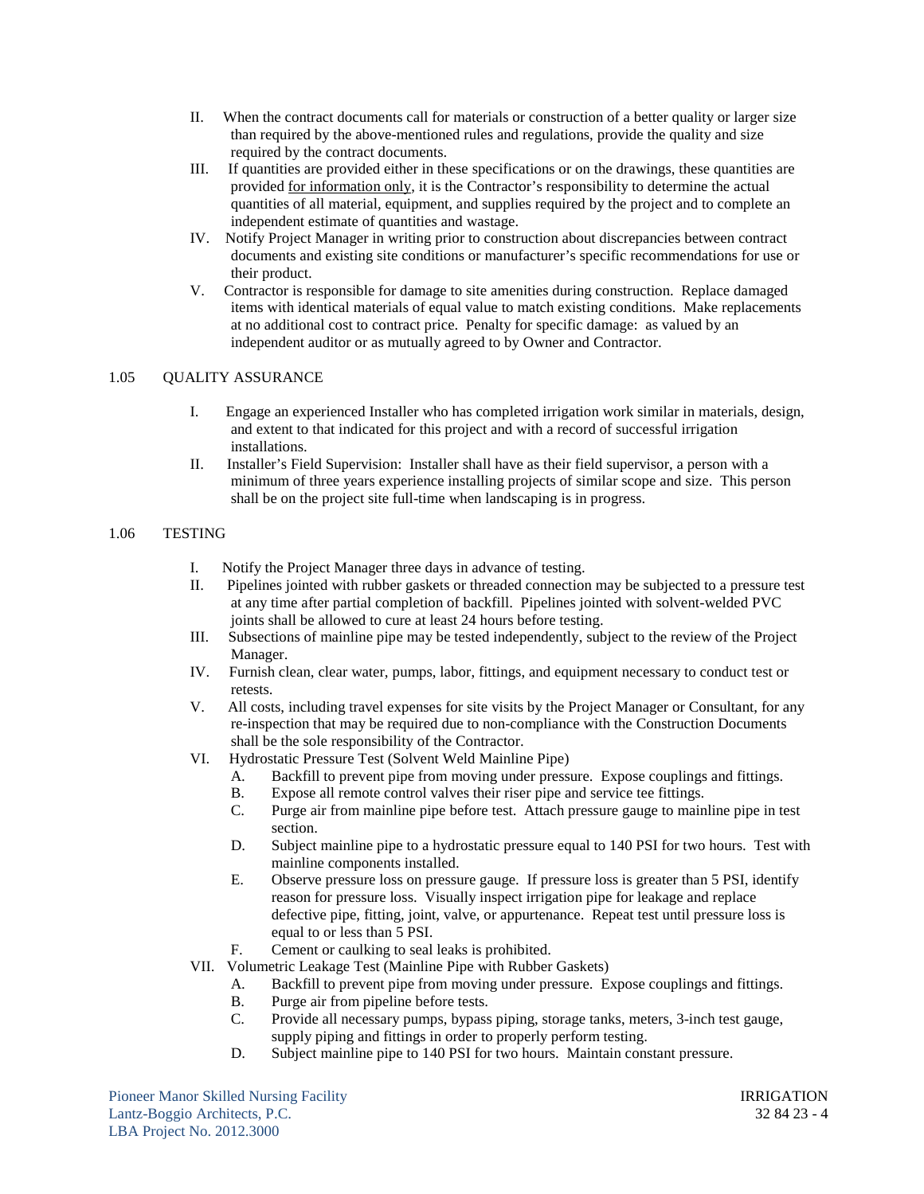- II. When the contract documents call for materials or construction of a better quality or larger size than required by the above-mentioned rules and regulations, provide the quality and size required by the contract documents.
- III. If quantities are provided either in these specifications or on the drawings, these quantities are provided for information only, it is the Contractor's responsibility to determine the actual quantities of all material, equipment, and supplies required by the project and to complete an independent estimate of quantities and wastage.
- IV. Notify Project Manager in writing prior to construction about discrepancies between contract documents and existing site conditions or manufacturer's specific recommendations for use or their product.
- V. Contractor is responsible for damage to site amenities during construction. Replace damaged items with identical materials of equal value to match existing conditions. Make replacements at no additional cost to contract price. Penalty for specific damage: as valued by an independent auditor or as mutually agreed to by Owner and Contractor.

# 1.05 QUALITY ASSURANCE

- I. Engage an experienced Installer who has completed irrigation work similar in materials, design, and extent to that indicated for this project and with a record of successful irrigation installations.
- II. Installer's Field Supervision: Installer shall have as their field supervisor, a person with a minimum of three years experience installing projects of similar scope and size. This person shall be on the project site full-time when landscaping is in progress.

# 1.06 TESTING

- I. Notify the Project Manager three days in advance of testing.
- II. Pipelines jointed with rubber gaskets or threaded connection may be subjected to a pressure test at any time after partial completion of backfill. Pipelines jointed with solvent-welded PVC joints shall be allowed to cure at least 24 hours before testing.
- III. Subsections of mainline pipe may be tested independently, subject to the review of the Project Manager.
- IV. Furnish clean, clear water, pumps, labor, fittings, and equipment necessary to conduct test or retests.
- V. All costs, including travel expenses for site visits by the Project Manager or Consultant, for any re-inspection that may be required due to non-compliance with the Construction Documents shall be the sole responsibility of the Contractor.
- VI. Hydrostatic Pressure Test (Solvent Weld Mainline Pipe)
	- A. Backfill to prevent pipe from moving under pressure. Expose couplings and fittings.
	- B. Expose all remote control valves their riser pipe and service tee fittings.
	- C. Purge air from mainline pipe before test. Attach pressure gauge to mainline pipe in test section.
	- D. Subject mainline pipe to a hydrostatic pressure equal to 140 PSI for two hours. Test with mainline components installed.
	- E. Observe pressure loss on pressure gauge. If pressure loss is greater than 5 PSI, identify reason for pressure loss. Visually inspect irrigation pipe for leakage and replace defective pipe, fitting, joint, valve, or appurtenance. Repeat test until pressure loss is equal to or less than 5 PSI.
	- F. Cement or caulking to seal leaks is prohibited.
- VII. Volumetric Leakage Test (Mainline Pipe with Rubber Gaskets)
	- A. Backfill to prevent pipe from moving under pressure. Expose couplings and fittings.
	- B. Purge air from pipeline before tests.
	- C. Provide all necessary pumps, bypass piping, storage tanks, meters, 3-inch test gauge, supply piping and fittings in order to properly perform testing.
	- D. Subject mainline pipe to 140 PSI for two hours. Maintain constant pressure.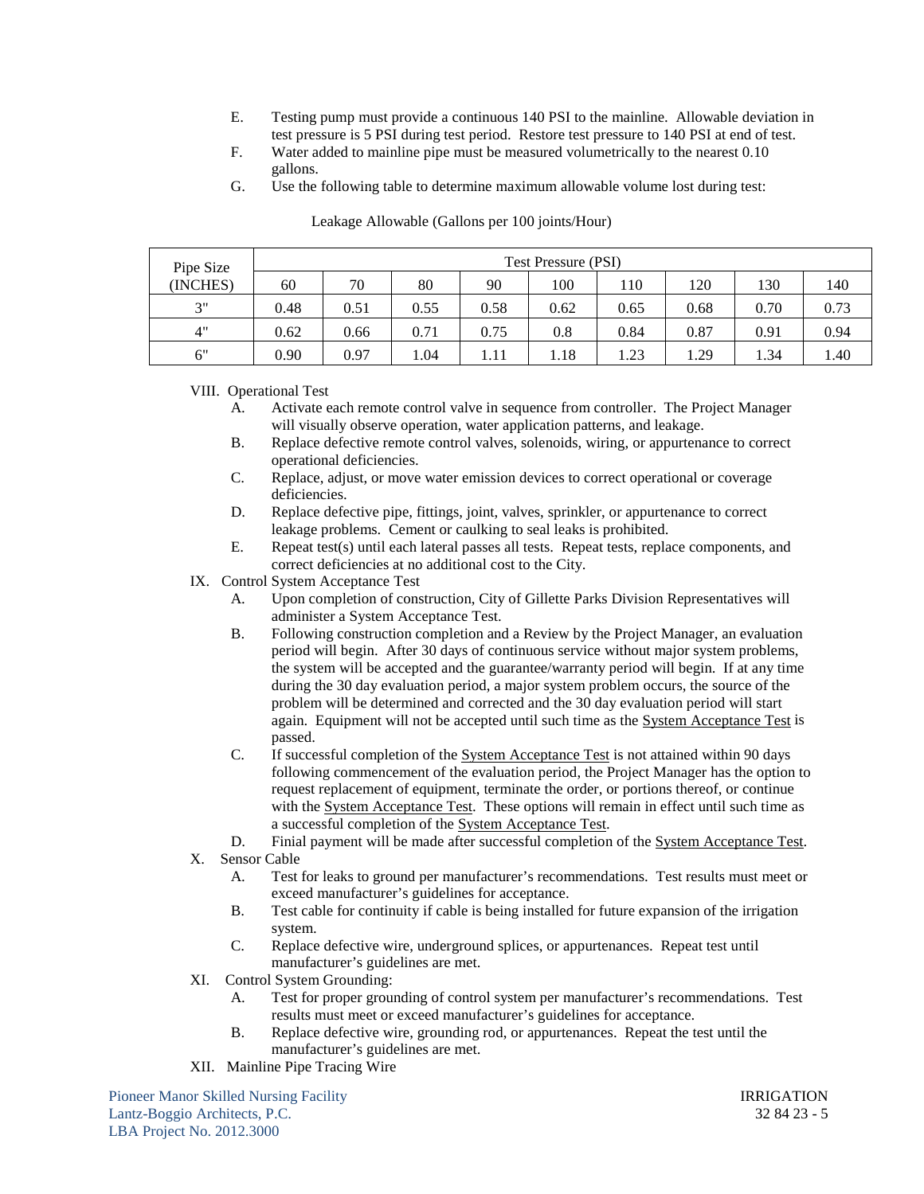- E. Testing pump must provide a continuous 140 PSI to the mainline. Allowable deviation in test pressure is 5 PSI during test period. Restore test pressure to 140 PSI at end of test.
- F. Water added to mainline pipe must be measured volumetrically to the nearest 0.10 gallons.
- G. Use the following table to determine maximum allowable volume lost during test:

| Pipe Size |      |      |      |      | Test Pressure (PSI) |      |      |      |      |
|-----------|------|------|------|------|---------------------|------|------|------|------|
| (INCHES)  | 60   | 70   | 80   | 90   | 100                 | 110  | 120  | 130  | 140  |
| 2"        | 0.48 | 0.51 | 0.55 | 0.58 | 0.62                | 0.65 | 0.68 | 0.70 | 0.73 |
| 4"        | 0.62 | 0.66 | 0.71 | 0.75 | 0.8                 | 0.84 | 0.87 | 0.91 | 0.94 |
| 6"        | 0.90 | 0.97 | 1.04 | 1.11 | .18                 | 1.23 | 1.29 | 1.34 | 1.40 |

Leakage Allowable (Gallons per 100 joints/Hour)

# VIII. Operational Test

- A. Activate each remote control valve in sequence from controller. The Project Manager will visually observe operation, water application patterns, and leakage.
- B. Replace defective remote control valves, solenoids, wiring, or appurtenance to correct operational deficiencies.
- C. Replace, adjust, or move water emission devices to correct operational or coverage deficiencies.
- D. Replace defective pipe, fittings, joint, valves, sprinkler, or appurtenance to correct leakage problems. Cement or caulking to seal leaks is prohibited.
- E. Repeat test(s) until each lateral passes all tests. Repeat tests, replace components, and correct deficiencies at no additional cost to the City.
- IX. Control System Acceptance Test
	- A. Upon completion of construction, City of Gillette Parks Division Representatives will administer a System Acceptance Test.
	- B. Following construction completion and a Review by the Project Manager, an evaluation period will begin. After 30 days of continuous service without major system problems, the system will be accepted and the guarantee/warranty period will begin. If at any time during the 30 day evaluation period, a major system problem occurs, the source of the problem will be determined and corrected and the 30 day evaluation period will start again. Equipment will not be accepted until such time as the System Acceptance Test is passed.
	- C. If successful completion of the System Acceptance Test is not attained within 90 days following commencement of the evaluation period, the Project Manager has the option to request replacement of equipment, terminate the order, or portions thereof, or continue with the System Acceptance Test. These options will remain in effect until such time as a successful completion of the System Acceptance Test.
	- D. Finial payment will be made after successful completion of the System Acceptance Test.
- X. Sensor Cable
	- A. Test for leaks to ground per manufacturer's recommendations. Test results must meet or exceed manufacturer's guidelines for acceptance.
	- B. Test cable for continuity if cable is being installed for future expansion of the irrigation system.
	- C. Replace defective wire, underground splices, or appurtenances. Repeat test until manufacturer's guidelines are met.
- XI. Control System Grounding:
	- A. Test for proper grounding of control system per manufacturer's recommendations. Test results must meet or exceed manufacturer's guidelines for acceptance.
	- B. Replace defective wire, grounding rod, or appurtenances. Repeat the test until the manufacturer's guidelines are met.
- XII. Mainline Pipe Tracing Wire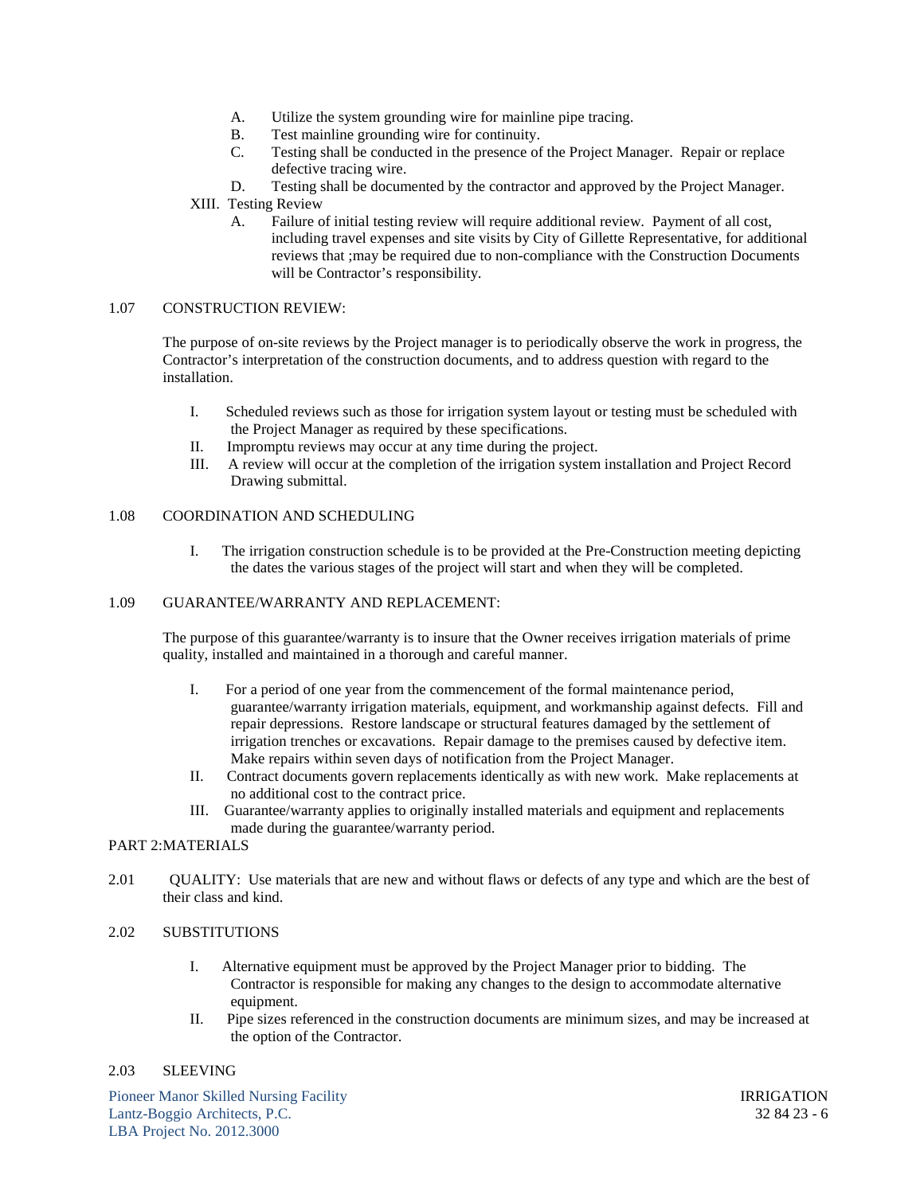- A. Utilize the system grounding wire for mainline pipe tracing.
- B. Test mainline grounding wire for continuity.
- C. Testing shall be conducted in the presence of the Project Manager. Repair or replace defective tracing wire.
- D. Testing shall be documented by the contractor and approved by the Project Manager.

#### XIII. Testing Review

A. Failure of initial testing review will require additional review. Payment of all cost, including travel expenses and site visits by City of Gillette Representative, for additional reviews that ;may be required due to non-compliance with the Construction Documents will be Contractor's responsibility.

# 1.07 CONSTRUCTION REVIEW:

The purpose of on-site reviews by the Project manager is to periodically observe the work in progress, the Contractor's interpretation of the construction documents, and to address question with regard to the installation.

- I. Scheduled reviews such as those for irrigation system layout or testing must be scheduled with the Project Manager as required by these specifications.
- II. Impromptu reviews may occur at any time during the project.
- III. A review will occur at the completion of the irrigation system installation and Project Record Drawing submittal.

# 1.08 COORDINATION AND SCHEDULING

I. The irrigation construction schedule is to be provided at the Pre-Construction meeting depicting the dates the various stages of the project will start and when they will be completed.

## 1.09 GUARANTEE/WARRANTY AND REPLACEMENT:

The purpose of this guarantee/warranty is to insure that the Owner receives irrigation materials of prime quality, installed and maintained in a thorough and careful manner.

- I. For a period of one year from the commencement of the formal maintenance period, guarantee/warranty irrigation materials, equipment, and workmanship against defects. Fill and repair depressions. Restore landscape or structural features damaged by the settlement of irrigation trenches or excavations. Repair damage to the premises caused by defective item. Make repairs within seven days of notification from the Project Manager.
- II. Contract documents govern replacements identically as with new work. Make replacements at no additional cost to the contract price.
- III. Guarantee/warranty applies to originally installed materials and equipment and replacements made during the guarantee/warranty period.

# PART 2:MATERIALS

2.01 QUALITY: Use materials that are new and without flaws or defects of any type and which are the best of their class and kind.

#### 2.02 SUBSTITUTIONS

- I. Alternative equipment must be approved by the Project Manager prior to bidding. The Contractor is responsible for making any changes to the design to accommodate alternative equipment.
- II. Pipe sizes referenced in the construction documents are minimum sizes, and may be increased at the option of the Contractor.

#### 2.03 SLEEVING

Pioneer Manor Skilled Nursing Facility **IRRIGATION** IRRIGATION Lantz-Boggio Architects, P.C. 32 84 23 - 6 LBA Project No. 2012.3000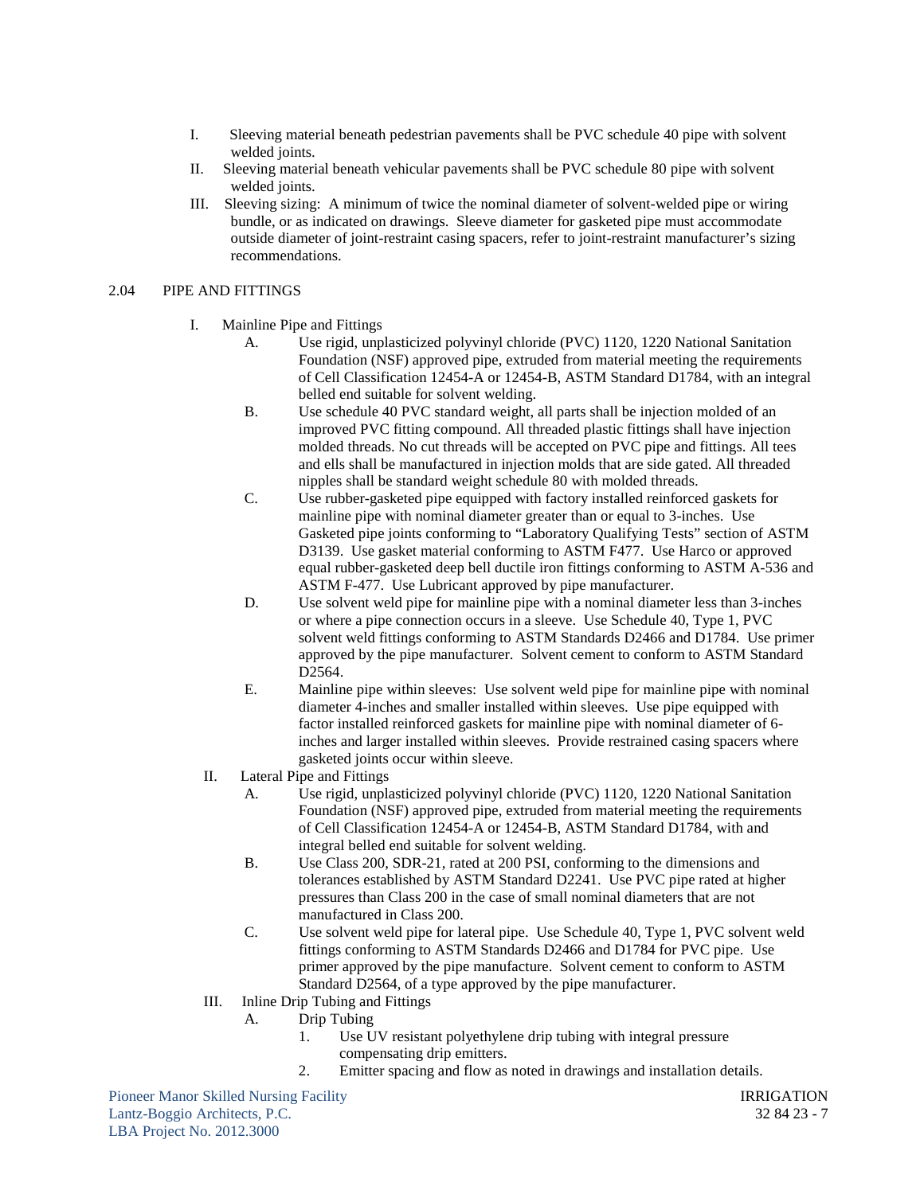- I. Sleeving material beneath pedestrian pavements shall be PVC schedule 40 pipe with solvent welded joints.
- II. Sleeving material beneath vehicular pavements shall be PVC schedule 80 pipe with solvent welded joints.
- III. Sleeving sizing: A minimum of twice the nominal diameter of solvent-welded pipe or wiring bundle, or as indicated on drawings. Sleeve diameter for gasketed pipe must accommodate outside diameter of joint-restraint casing spacers, refer to joint-restraint manufacturer's sizing recommendations.

## 2.04 PIPE AND FITTINGS

- I. Mainline Pipe and Fittings
	- A. Use rigid, unplasticized polyvinyl chloride (PVC) 1120, 1220 National Sanitation Foundation (NSF) approved pipe, extruded from material meeting the requirements of Cell Classification 12454-A or 12454-B, ASTM Standard D1784, with an integral belled end suitable for solvent welding.
	- B. Use schedule 40 PVC standard weight, all parts shall be injection molded of an improved PVC fitting compound. All threaded plastic fittings shall have injection molded threads. No cut threads will be accepted on PVC pipe and fittings. All tees and ells shall be manufactured in injection molds that are side gated. All threaded nipples shall be standard weight schedule 80 with molded threads.
	- C. Use rubber-gasketed pipe equipped with factory installed reinforced gaskets for mainline pipe with nominal diameter greater than or equal to 3-inches. Use Gasketed pipe joints conforming to "Laboratory Qualifying Tests" section of ASTM D3139. Use gasket material conforming to ASTM F477. Use Harco or approved equal rubber-gasketed deep bell ductile iron fittings conforming to ASTM A-536 and ASTM F-477. Use Lubricant approved by pipe manufacturer.
	- D. Use solvent weld pipe for mainline pipe with a nominal diameter less than 3-inches or where a pipe connection occurs in a sleeve. Use Schedule 40, Type 1, PVC solvent weld fittings conforming to ASTM Standards D2466 and D1784. Use primer approved by the pipe manufacturer. Solvent cement to conform to ASTM Standard D2564.
	- E. Mainline pipe within sleeves: Use solvent weld pipe for mainline pipe with nominal diameter 4-inches and smaller installed within sleeves. Use pipe equipped with factor installed reinforced gaskets for mainline pipe with nominal diameter of 6 inches and larger installed within sleeves. Provide restrained casing spacers where gasketed joints occur within sleeve.
	- II. Lateral Pipe and Fittings
		- A. Use rigid, unplasticized polyvinyl chloride (PVC) 1120, 1220 National Sanitation Foundation (NSF) approved pipe, extruded from material meeting the requirements of Cell Classification 12454-A or 12454-B, ASTM Standard D1784, with and integral belled end suitable for solvent welding.
		- B. Use Class 200, SDR-21, rated at 200 PSI, conforming to the dimensions and tolerances established by ASTM Standard D2241. Use PVC pipe rated at higher pressures than Class 200 in the case of small nominal diameters that are not manufactured in Class 200.
		- C. Use solvent weld pipe for lateral pipe. Use Schedule 40, Type 1, PVC solvent weld fittings conforming to ASTM Standards D2466 and D1784 for PVC pipe. Use primer approved by the pipe manufacture. Solvent cement to conform to ASTM Standard D2564, of a type approved by the pipe manufacturer.
	- III. Inline Drip Tubing and Fittings
		- A. Drip Tubing
			- 1. Use UV resistant polyethylene drip tubing with integral pressure compensating drip emitters.
			- 2. Emitter spacing and flow as noted in drawings and installation details.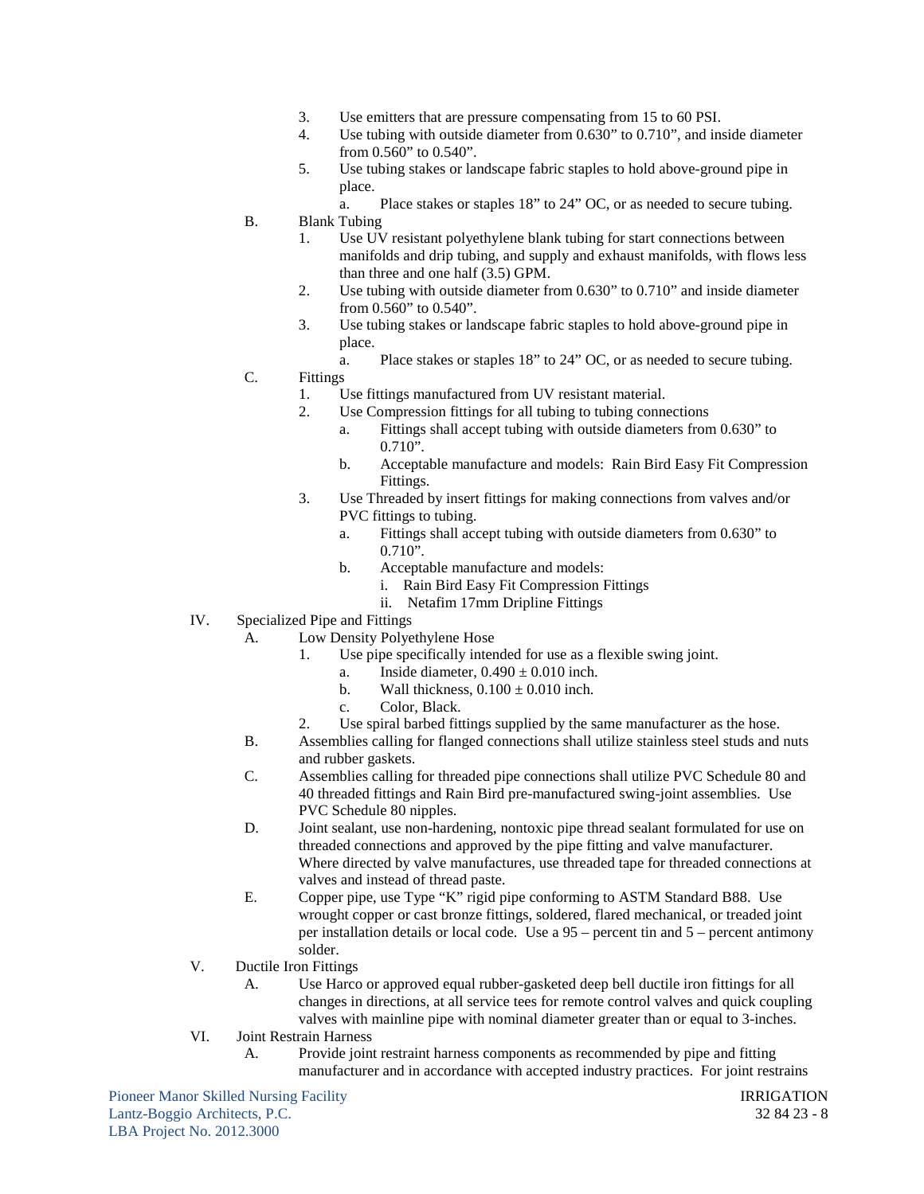- 3. Use emitters that are pressure compensating from 15 to 60 PSI.<br>4. Use tubing with outside diameter from  $0.630$ " to  $0.710$ ", and ins
- Use tubing with outside diameter from  $0.630$ " to  $0.710$ ", and inside diameter from 0.560" to 0.540".
- 5. Use tubing stakes or landscape fabric staples to hold above-ground pipe in place.
	- a. Place stakes or staples 18" to 24" OC, or as needed to secure tubing.
- B. Blank Tubing
	- 1. Use UV resistant polyethylene blank tubing for start connections between manifolds and drip tubing, and supply and exhaust manifolds, with flows less than three and one half (3.5) GPM.
	- 2. Use tubing with outside diameter from 0.630" to 0.710" and inside diameter from 0.560" to 0.540".
	- 3. Use tubing stakes or landscape fabric staples to hold above-ground pipe in place.
		- a. Place stakes or staples 18" to 24" OC, or as needed to secure tubing.
- C. Fittings
	- 1. Use fittings manufactured from UV resistant material.
	- 2. Use Compression fittings for all tubing to tubing connections
		- a. Fittings shall accept tubing with outside diameters from 0.630" to  $0.710"$ .
		- b. Acceptable manufacture and models: Rain Bird Easy Fit Compression Fittings.
	- 3. Use Threaded by insert fittings for making connections from valves and/or PVC fittings to tubing.
		- a. Fittings shall accept tubing with outside diameters from 0.630" to  $0.710"$ .
		- b. Acceptable manufacture and models:
			- i. Rain Bird Easy Fit Compression Fittings
			- ii. Netafim 17mm Dripline Fittings
- IV. Specialized Pipe and Fittings
	- A. Low Density Polyethylene Hose
		- 1. Use pipe specifically intended for use as a flexible swing joint.
			- a. Inside diameter,  $0.490 \pm 0.010$  inch.
			- b. Wall thickness,  $0.100 \pm 0.010$  inch.
			- c. Color, Black.
		- 2. Use spiral barbed fittings supplied by the same manufacturer as the hose.
	- B. Assemblies calling for flanged connections shall utilize stainless steel studs and nuts and rubber gaskets.
	- C. Assemblies calling for threaded pipe connections shall utilize PVC Schedule 80 and 40 threaded fittings and Rain Bird pre-manufactured swing-joint assemblies. Use PVC Schedule 80 nipples.
	- D. Joint sealant, use non-hardening, nontoxic pipe thread sealant formulated for use on threaded connections and approved by the pipe fitting and valve manufacturer. Where directed by valve manufactures, use threaded tape for threaded connections at valves and instead of thread paste.
	- E. Copper pipe, use Type "K" rigid pipe conforming to ASTM Standard B88. Use wrought copper or cast bronze fittings, soldered, flared mechanical, or treaded joint per installation details or local code. Use a 95 – percent tin and 5 – percent antimony solder.
- V. Ductile Iron Fittings
	- A. Use Harco or approved equal rubber-gasketed deep bell ductile iron fittings for all changes in directions, at all service tees for remote control valves and quick coupling valves with mainline pipe with nominal diameter greater than or equal to 3-inches.
- VI. Joint Restrain Harness
	- A. Provide joint restraint harness components as recommended by pipe and fitting manufacturer and in accordance with accepted industry practices. For joint restrains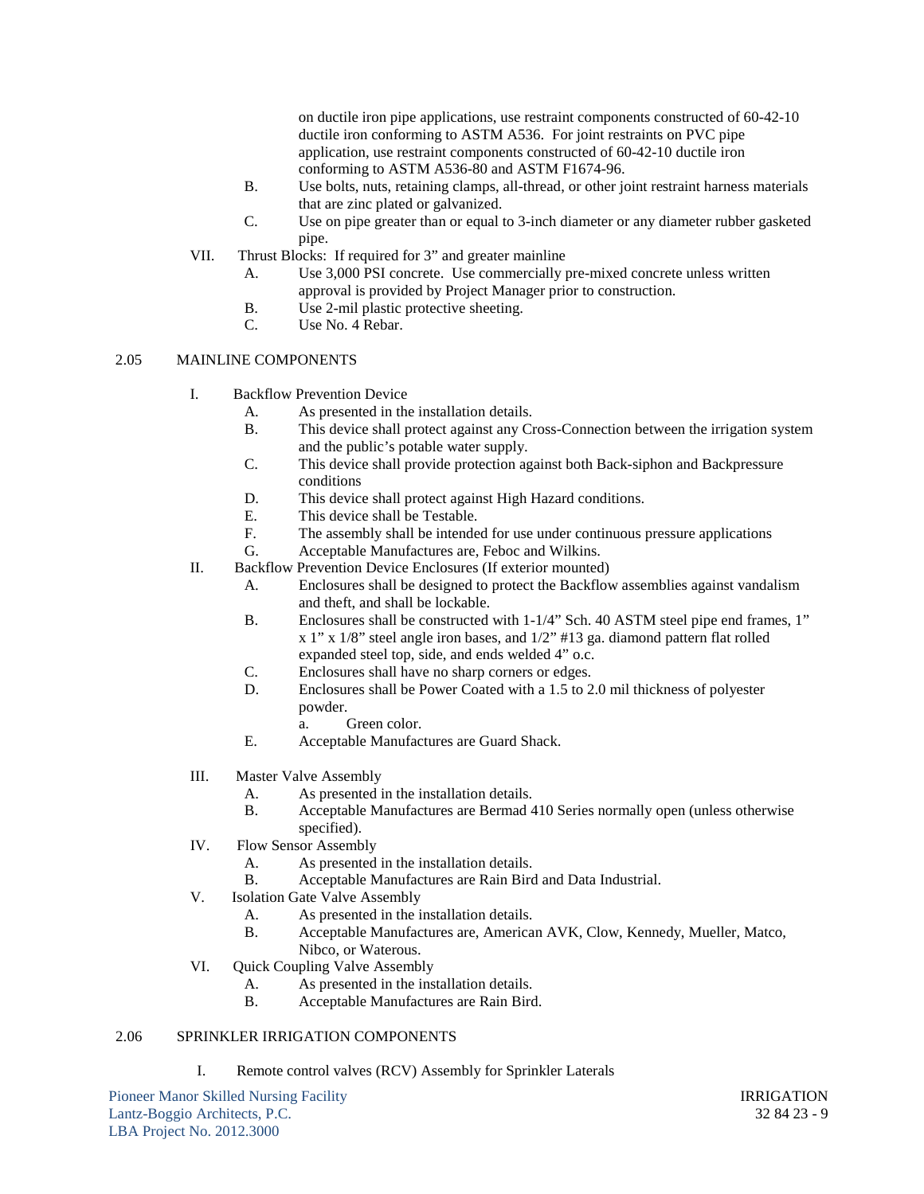on ductile iron pipe applications, use restraint components constructed of 60-42-10 ductile iron conforming to ASTM A536. For joint restraints on PVC pipe application, use restraint components constructed of 60-42-10 ductile iron conforming to ASTM A536-80 and ASTM F1674-96.

- B. Use bolts, nuts, retaining clamps, all-thread, or other joint restraint harness materials that are zinc plated or galvanized.
- C. Use on pipe greater than or equal to 3-inch diameter or any diameter rubber gasketed pipe.
- VII. Thrust Blocks: If required for 3" and greater mainline
	- A. Use 3,000 PSI concrete. Use commercially pre-mixed concrete unless written approval is provided by Project Manager prior to construction.
	- B. Use 2-mil plastic protective sheeting.
	- C. Use No. 4 Rebar.

# 2.05 MAINLINE COMPONENTS

- I. Backflow Prevention Device
	- A. As presented in the installation details.
	- B. This device shall protect against any Cross-Connection between the irrigation system and the public's potable water supply.
	- C. This device shall provide protection against both Back-siphon and Backpressure conditions
	- D. This device shall protect against High Hazard conditions.
	- E. This device shall be Testable.
	- F. The assembly shall be intended for use under continuous pressure applications
	- G. Acceptable Manufactures are, Feboc and Wilkins.
- II. Backflow Prevention Device Enclosures (If exterior mounted)
	- A. Enclosures shall be designed to protect the Backflow assemblies against vandalism and theft, and shall be lockable.
	- B. Enclosures shall be constructed with 1-1/4" Sch. 40 ASTM steel pipe end frames, 1" x 1" x 1/8" steel angle iron bases, and 1/2" #13 ga. diamond pattern flat rolled expanded steel top, side, and ends welded 4" o.c.
	- C. Enclosures shall have no sharp corners or edges.
	- D. Enclosures shall be Power Coated with a 1.5 to 2.0 mil thickness of polyester powder.
		- a. Green color.
	- E. Acceptable Manufactures are Guard Shack.
- III. Master Valve Assembly
	- A. As presented in the installation details.
	- B. Acceptable Manufactures are Bermad 410 Series normally open (unless otherwise specified).
- IV. Flow Sensor Assembly
	- A. As presented in the installation details.
	- B. Acceptable Manufactures are Rain Bird and Data Industrial.
- V. Isolation Gate Valve Assembly
	- A. As presented in the installation details.
	- B. Acceptable Manufactures are, American AVK, Clow, Kennedy, Mueller, Matco, Nibco, or Waterous.
- VI. Quick Coupling Valve Assembly
	- A. As presented in the installation details.
	- B. Acceptable Manufactures are Rain Bird.

# 2.06 SPRINKLER IRRIGATION COMPONENTS

I. Remote control valves (RCV) Assembly for Sprinkler Laterals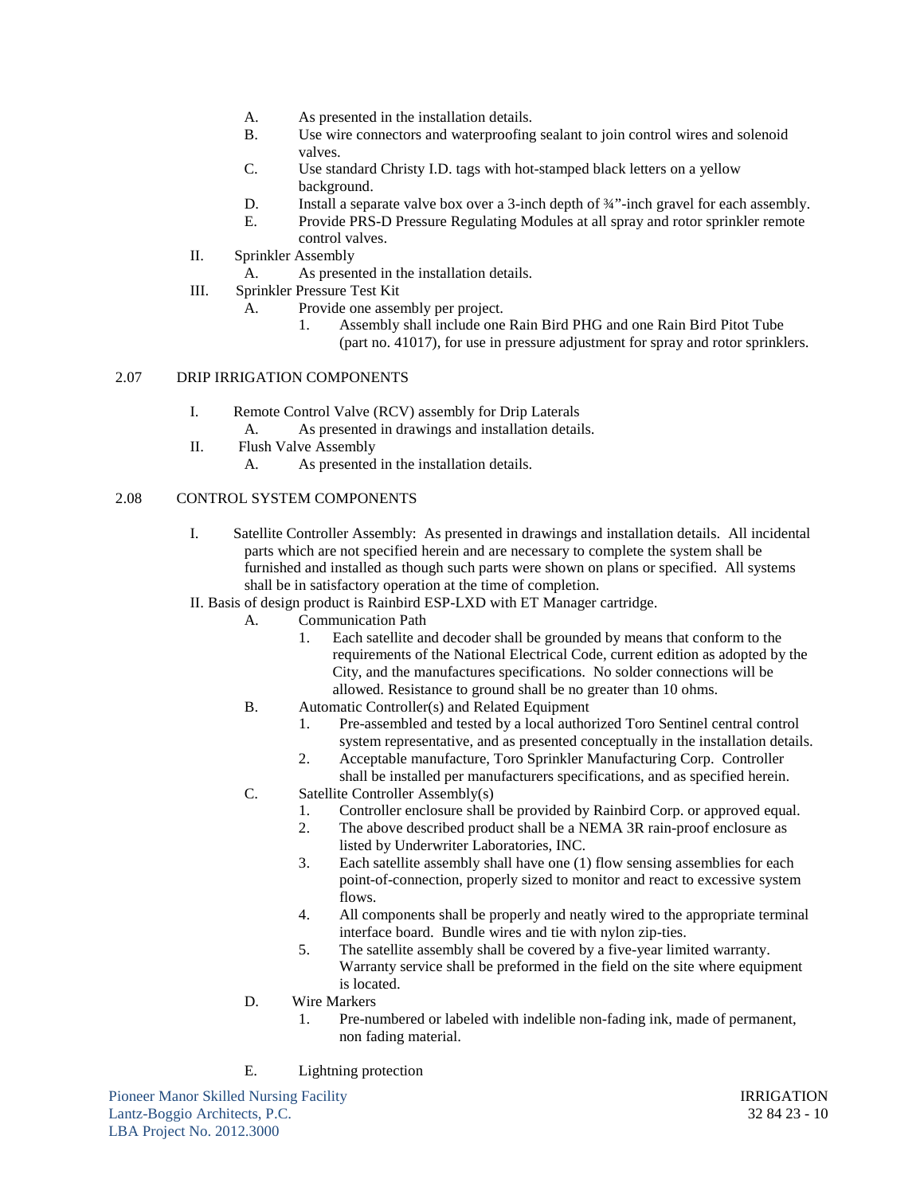- A. As presented in the installation details.
- B. Use wire connectors and waterproofing sealant to join control wires and solenoid valves.
- C. Use standard Christy I.D. tags with hot-stamped black letters on a yellow background.
- D. Install a separate valve box over a 3-inch depth of  $\frac{3}{4}$  -inch gravel for each assembly.
- E. Provide PRS-D Pressure Regulating Modules at all spray and rotor sprinkler remote control valves.
- II. Sprinkler Assembly
	- A. As presented in the installation details.
- III. Sprinkler Pressure Test Kit
	- A. Provide one assembly per project.
		- 1. Assembly shall include one Rain Bird PHG and one Rain Bird Pitot Tube
			- (part no. 41017), for use in pressure adjustment for spray and rotor sprinklers.

# 2.07 DRIP IRRIGATION COMPONENTS

- I. Remote Control Valve (RCV) assembly for Drip Laterals
	- A. As presented in drawings and installation details.
- II. Flush Valve Assembly
	- A. As presented in the installation details.

# 2.08 CONTROL SYSTEM COMPONENTS

- I. Satellite Controller Assembly: As presented in drawings and installation details. All incidental parts which are not specified herein and are necessary to complete the system shall be furnished and installed as though such parts were shown on plans or specified. All systems shall be in satisfactory operation at the time of completion.
- II. Basis of design product is Rainbird ESP-LXD with ET Manager cartridge.
	- A. Communication Path
		- 1. Each satellite and decoder shall be grounded by means that conform to the requirements of the National Electrical Code, current edition as adopted by the City, and the manufactures specifications. No solder connections will be allowed. Resistance to ground shall be no greater than 10 ohms.
	- B. Automatic Controller(s) and Related Equipment
		- 1. Pre-assembled and tested by a local authorized Toro Sentinel central control system representative, and as presented conceptually in the installation details.
		- 2. Acceptable manufacture, Toro Sprinkler Manufacturing Corp. Controller shall be installed per manufacturers specifications, and as specified herein.
	- C. Satellite Controller Assembly(s)
		- 1. Controller enclosure shall be provided by Rainbird Corp. or approved equal.
		- 2. The above described product shall be a NEMA 3R rain-proof enclosure as listed by Underwriter Laboratories, INC.
		- 3. Each satellite assembly shall have one (1) flow sensing assemblies for each point-of-connection, properly sized to monitor and react to excessive system flows.
		- 4. All components shall be properly and neatly wired to the appropriate terminal interface board. Bundle wires and tie with nylon zip-ties.
		- 5. The satellite assembly shall be covered by a five-year limited warranty. Warranty service shall be preformed in the field on the site where equipment is located.
	- D. Wire Markers
		- 1. Pre-numbered or labeled with indelible non-fading ink, made of permanent, non fading material.
	- E. Lightning protection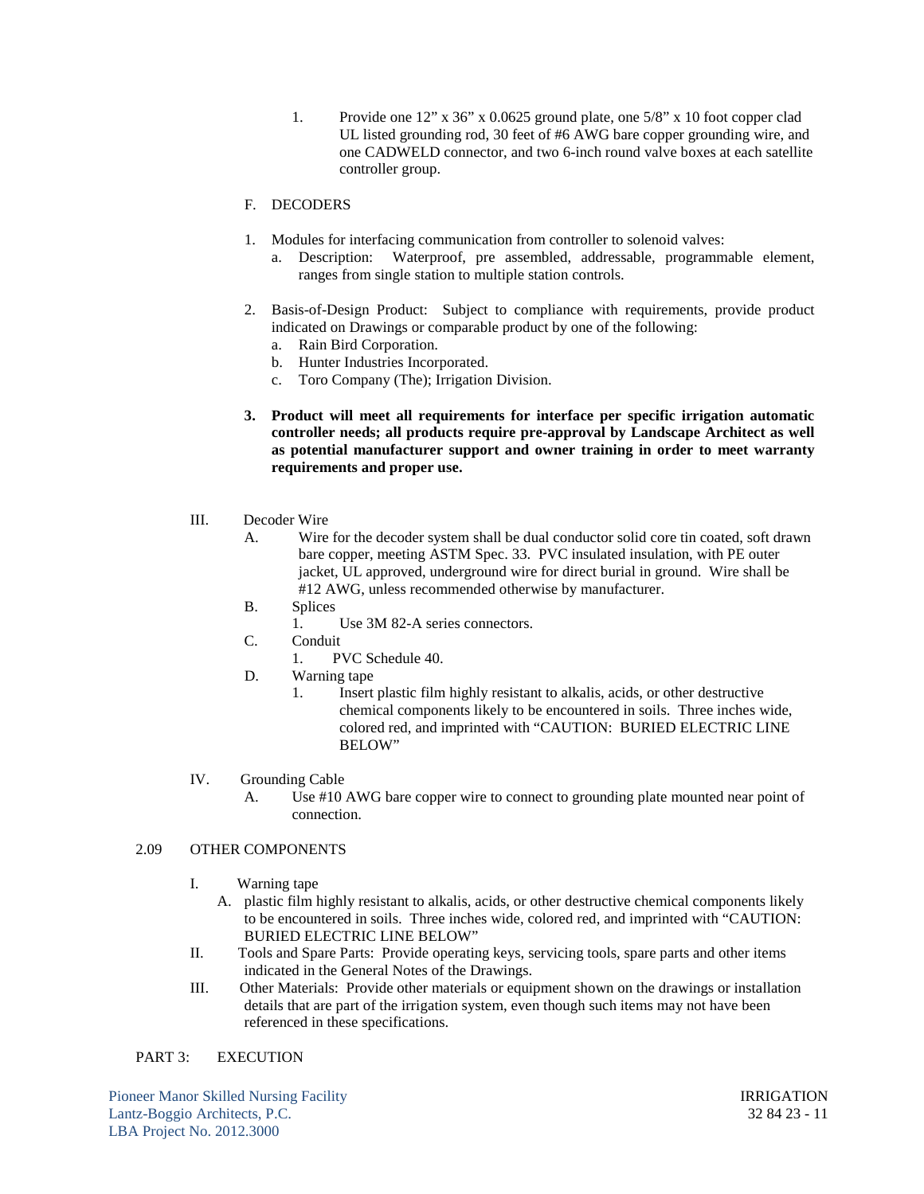1. Provide one 12" x 36" x 0.0625 ground plate, one 5/8" x 10 foot copper clad UL listed grounding rod, 30 feet of #6 AWG bare copper grounding wire, and one CADWELD connector, and two 6-inch round valve boxes at each satellite controller group.

# F. DECODERS

- 1. Modules for interfacing communication from controller to solenoid valves:
	- a. Description: Waterproof, pre assembled, addressable, programmable element, ranges from single station to multiple station controls.
- 2. Basis-of-Design Product: Subject to compliance with requirements, provide product indicated on Drawings or comparable product by one of the following:
	- a. Rain Bird Corporation.
	- b. Hunter Industries Incorporated.
	- c. Toro Company (The); Irrigation Division.
- **3. Product will meet all requirements for interface per specific irrigation automatic controller needs; all products require pre-approval by Landscape Architect as well as potential manufacturer support and owner training in order to meet warranty requirements and proper use.**
- III. Decoder Wire
	- A. Wire for the decoder system shall be dual conductor solid core tin coated, soft drawn bare copper, meeting ASTM Spec. 33. PVC insulated insulation, with PE outer jacket, UL approved, underground wire for direct burial in ground. Wire shall be #12 AWG, unless recommended otherwise by manufacturer.
	- B. Splices
		- 1. Use 3M 82-A series connectors.
	- C. Conduit
		- 1. PVC Schedule 40.
	- D. Warning tape
		- 1. Insert plastic film highly resistant to alkalis, acids, or other destructive chemical components likely to be encountered in soils. Three inches wide, colored red, and imprinted with "CAUTION: BURIED ELECTRIC LINE BELOW"
- IV. Grounding Cable
	- A. Use #10 AWG bare copper wire to connect to grounding plate mounted near point of connection.

# 2.09 OTHER COMPONENTS

- I. Warning tape
	- A. plastic film highly resistant to alkalis, acids, or other destructive chemical components likely to be encountered in soils. Three inches wide, colored red, and imprinted with "CAUTION: BURIED ELECTRIC LINE BELOW"
- II. Tools and Spare Parts: Provide operating keys, servicing tools, spare parts and other items indicated in the General Notes of the Drawings.
- III. Other Materials: Provide other materials or equipment shown on the drawings or installation details that are part of the irrigation system, even though such items may not have been referenced in these specifications.

# PART 3: EXECUTION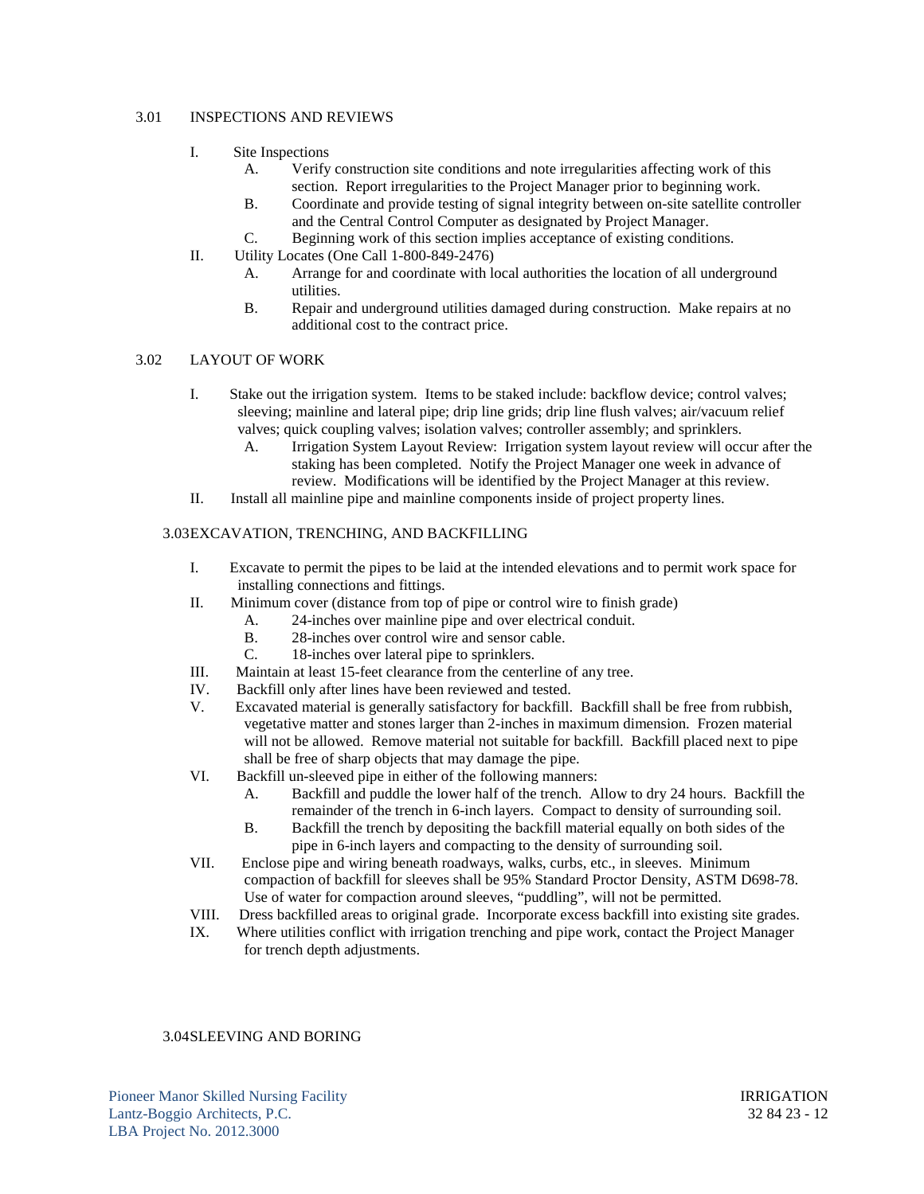# 3.01 INSPECTIONS AND REVIEWS

# I. Site Inspections

- A. Verify construction site conditions and note irregularities affecting work of this section. Report irregularities to the Project Manager prior to beginning work.
- B. Coordinate and provide testing of signal integrity between on-site satellite controller and the Central Control Computer as designated by Project Manager.
- C. Beginning work of this section implies acceptance of existing conditions.
- II. Utility Locates (One Call 1-800-849-2476)
	- A. Arrange for and coordinate with local authorities the location of all underground utilities.
	- B. Repair and underground utilities damaged during construction. Make repairs at no additional cost to the contract price.

# 3.02 LAYOUT OF WORK

- I. Stake out the irrigation system. Items to be staked include: backflow device; control valves; sleeving; mainline and lateral pipe; drip line grids; drip line flush valves; air/vacuum relief valves; quick coupling valves; isolation valves; controller assembly; and sprinklers.
	- A. Irrigation System Layout Review: Irrigation system layout review will occur after the staking has been completed. Notify the Project Manager one week in advance of review. Modifications will be identified by the Project Manager at this review.
- II. Install all mainline pipe and mainline components inside of project property lines.

# 3.03EXCAVATION, TRENCHING, AND BACKFILLING

- I. Excavate to permit the pipes to be laid at the intended elevations and to permit work space for installing connections and fittings.
- II. Minimum cover (distance from top of pipe or control wire to finish grade)
	- A. 24-inches over mainline pipe and over electrical conduit.
	- B. 28-inches over control wire and sensor cable.<br>C. 18-inches over lateral pipe to sprinklers.
	- 18-inches over lateral pipe to sprinklers.
- III. Maintain at least 15-feet clearance from the centerline of any tree.
- IV. Backfill only after lines have been reviewed and tested.<br>V. Excavated material is generally satisfactory for backfill.
- Excavated material is generally satisfactory for backfill. Backfill shall be free from rubbish, vegetative matter and stones larger than 2-inches in maximum dimension. Frozen material will not be allowed. Remove material not suitable for backfill. Backfill placed next to pipe shall be free of sharp objects that may damage the pipe.
- VI. Backfill un-sleeved pipe in either of the following manners:
	- A. Backfill and puddle the lower half of the trench. Allow to dry 24 hours. Backfill the remainder of the trench in 6-inch layers. Compact to density of surrounding soil.
	- B. Backfill the trench by depositing the backfill material equally on both sides of the pipe in 6-inch layers and compacting to the density of surrounding soil.
- VII. Enclose pipe and wiring beneath roadways, walks, curbs, etc., in sleeves. Minimum compaction of backfill for sleeves shall be 95% Standard Proctor Density, ASTM D698-78. Use of water for compaction around sleeves, "puddling", will not be permitted.
- VIII. Dress backfilled areas to original grade. Incorporate excess backfill into existing site grades.
- IX. Where utilities conflict with irrigation trenching and pipe work, contact the Project Manager for trench depth adjustments.

# 3.04SLEEVING AND BORING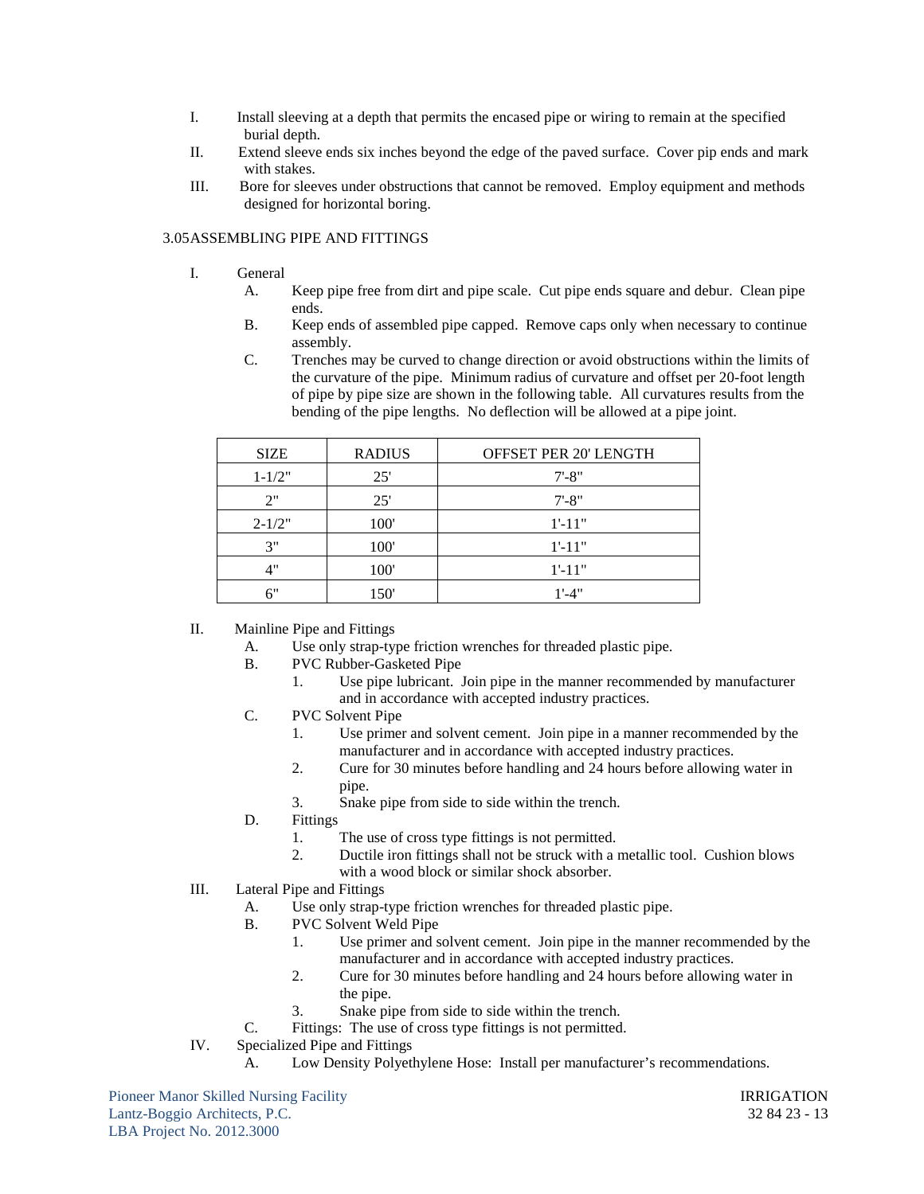- I. Install sleeving at a depth that permits the encased pipe or wiring to remain at the specified burial depth.
- II. Extend sleeve ends six inches beyond the edge of the paved surface. Cover pip ends and mark with stakes.
- III. Bore for sleeves under obstructions that cannot be removed. Employ equipment and methods designed for horizontal boring.

# 3.05ASSEMBLING PIPE AND FITTINGS

- I. General
	- A. Keep pipe free from dirt and pipe scale. Cut pipe ends square and debur. Clean pipe ends.
	- B. Keep ends of assembled pipe capped. Remove caps only when necessary to continue assembly.
	- C. Trenches may be curved to change direction or avoid obstructions within the limits of the curvature of the pipe. Minimum radius of curvature and offset per 20-foot length of pipe by pipe size are shown in the following table. All curvatures results from the bending of the pipe lengths. No deflection will be allowed at a pipe joint.

| <b>SIZE</b> | <b>RADIUS</b> | OFFSET PER 20' LENGTH |
|-------------|---------------|-----------------------|
| $1 - 1/2"$  | 25'           | $7' - 8''$            |
| 2"          | 25'           | $7' - 8''$            |
| $2 - 1/2"$  | 100'          | $1' - 11"$            |
| 3"          | 100'          | $1' - 11"$            |
| 4"          | 100'          | $1' - 11"$            |
| ና"          | 150'          | $1' - 4''$            |

- II. Mainline Pipe and Fittings
	- A. Use only strap-type friction wrenches for threaded plastic pipe.
	- B. PVC Rubber-Gasketed Pipe
		- 1. Use pipe lubricant. Join pipe in the manner recommended by manufacturer and in accordance with accepted industry practices.
	- C. PVC Solvent Pipe
		- 1. Use primer and solvent cement. Join pipe in a manner recommended by the manufacturer and in accordance with accepted industry practices.
		- 2. Cure for 30 minutes before handling and 24 hours before allowing water in pipe.
		- 3. Snake pipe from side to side within the trench.
	- D. Fittings
		- 1. The use of cross type fittings is not permitted.<br>2. Ductile iron fittings shall not be struck with a
		- 2. Ductile iron fittings shall not be struck with a metallic tool. Cushion blows with a wood block or similar shock absorber.
- III. Lateral Pipe and Fittings
	- A. Use only strap-type friction wrenches for threaded plastic pipe.
	- B. PVC Solvent Weld Pipe
		- 1. Use primer and solvent cement. Join pipe in the manner recommended by the manufacturer and in accordance with accepted industry practices.
		- 2. Cure for 30 minutes before handling and 24 hours before allowing water in the pipe.
		- 3. Snake pipe from side to side within the trench.
	- C. Fittings: The use of cross type fittings is not permitted.
- IV. Specialized Pipe and Fittings
	- A. Low Density Polyethylene Hose: Install per manufacturer's recommendations.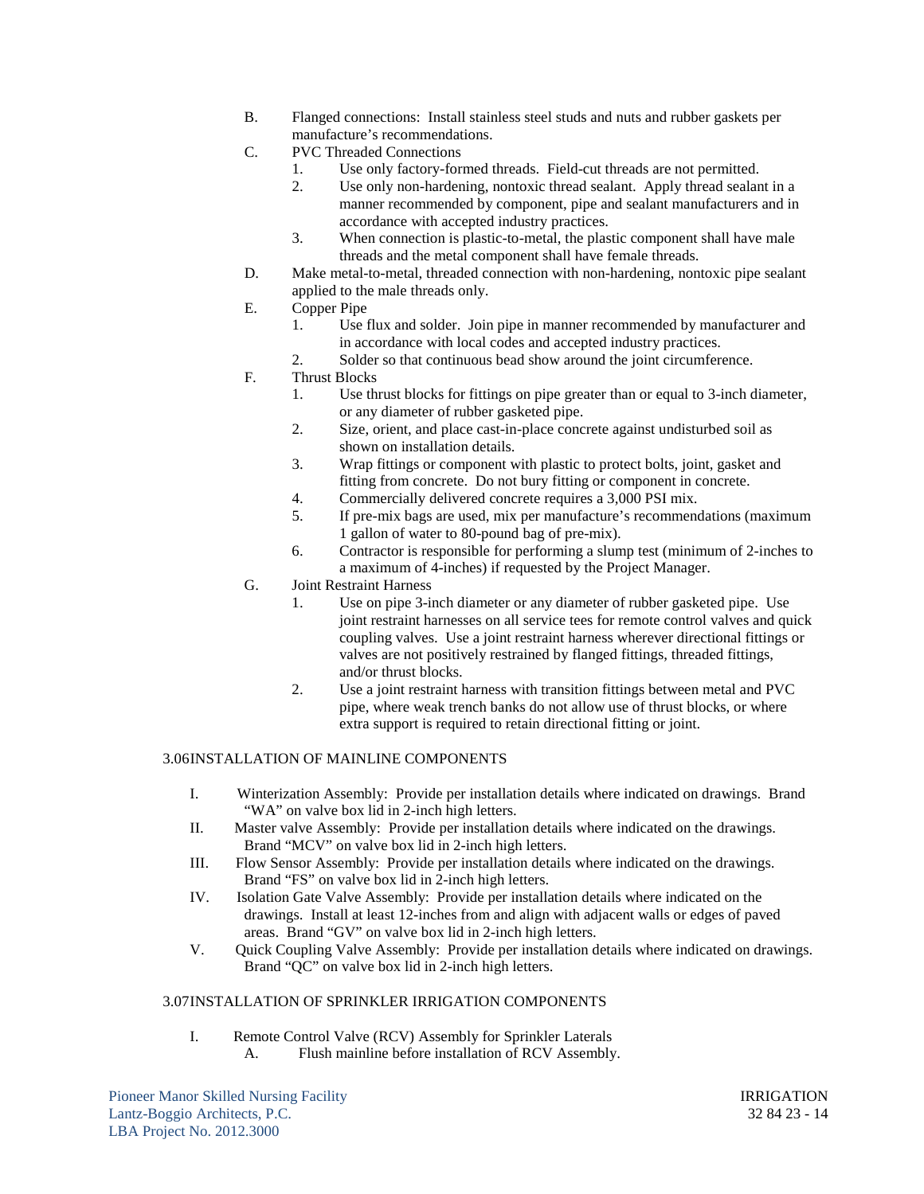- B. Flanged connections: Install stainless steel studs and nuts and rubber gaskets per manufacture's recommendations.
- C. PVC Threaded Connections
	- 1. Use only factory-formed threads. Field-cut threads are not permitted.
	- 2. Use only non-hardening, nontoxic thread sealant. Apply thread sealant in a manner recommended by component, pipe and sealant manufacturers and in accordance with accepted industry practices.
	- 3. When connection is plastic-to-metal, the plastic component shall have male threads and the metal component shall have female threads.
- D. Make metal-to-metal, threaded connection with non-hardening, nontoxic pipe sealant applied to the male threads only.
- E. Copper Pipe
	- 1. Use flux and solder. Join pipe in manner recommended by manufacturer and in accordance with local codes and accepted industry practices.
	- 2. Solder so that continuous bead show around the joint circumference.
- F. Thrust Blocks
	- 1. Use thrust blocks for fittings on pipe greater than or equal to 3-inch diameter, or any diameter of rubber gasketed pipe.
	- 2. Size, orient, and place cast-in-place concrete against undisturbed soil as shown on installation details.
	- 3. Wrap fittings or component with plastic to protect bolts, joint, gasket and fitting from concrete. Do not bury fitting or component in concrete.
	- 4. Commercially delivered concrete requires a 3,000 PSI mix.
	- 5. If pre-mix bags are used, mix per manufacture's recommendations (maximum 1 gallon of water to 80-pound bag of pre-mix).
	- 6. Contractor is responsible for performing a slump test (minimum of 2-inches to a maximum of 4-inches) if requested by the Project Manager.
- G. Joint Restraint Harness
	- 1. Use on pipe 3-inch diameter or any diameter of rubber gasketed pipe. Use joint restraint harnesses on all service tees for remote control valves and quick coupling valves. Use a joint restraint harness wherever directional fittings or valves are not positively restrained by flanged fittings, threaded fittings, and/or thrust blocks.
	- 2. Use a joint restraint harness with transition fittings between metal and PVC pipe, where weak trench banks do not allow use of thrust blocks, or where extra support is required to retain directional fitting or joint.

# 3.06INSTALLATION OF MAINLINE COMPONENTS

- I. Winterization Assembly: Provide per installation details where indicated on drawings. Brand "WA" on valve box lid in 2-inch high letters.
- II. Master valve Assembly: Provide per installation details where indicated on the drawings. Brand "MCV" on valve box lid in 2-inch high letters.
- III. Flow Sensor Assembly: Provide per installation details where indicated on the drawings. Brand "FS" on valve box lid in 2-inch high letters.
- IV. Isolation Gate Valve Assembly: Provide per installation details where indicated on the drawings. Install at least 12-inches from and align with adjacent walls or edges of paved areas. Brand "GV" on valve box lid in 2-inch high letters.
- V. Quick Coupling Valve Assembly: Provide per installation details where indicated on drawings. Brand "QC" on valve box lid in 2-inch high letters.

# 3.07INSTALLATION OF SPRINKLER IRRIGATION COMPONENTS

- I. Remote Control Valve (RCV) Assembly for Sprinkler Laterals
	- A. Flush mainline before installation of RCV Assembly.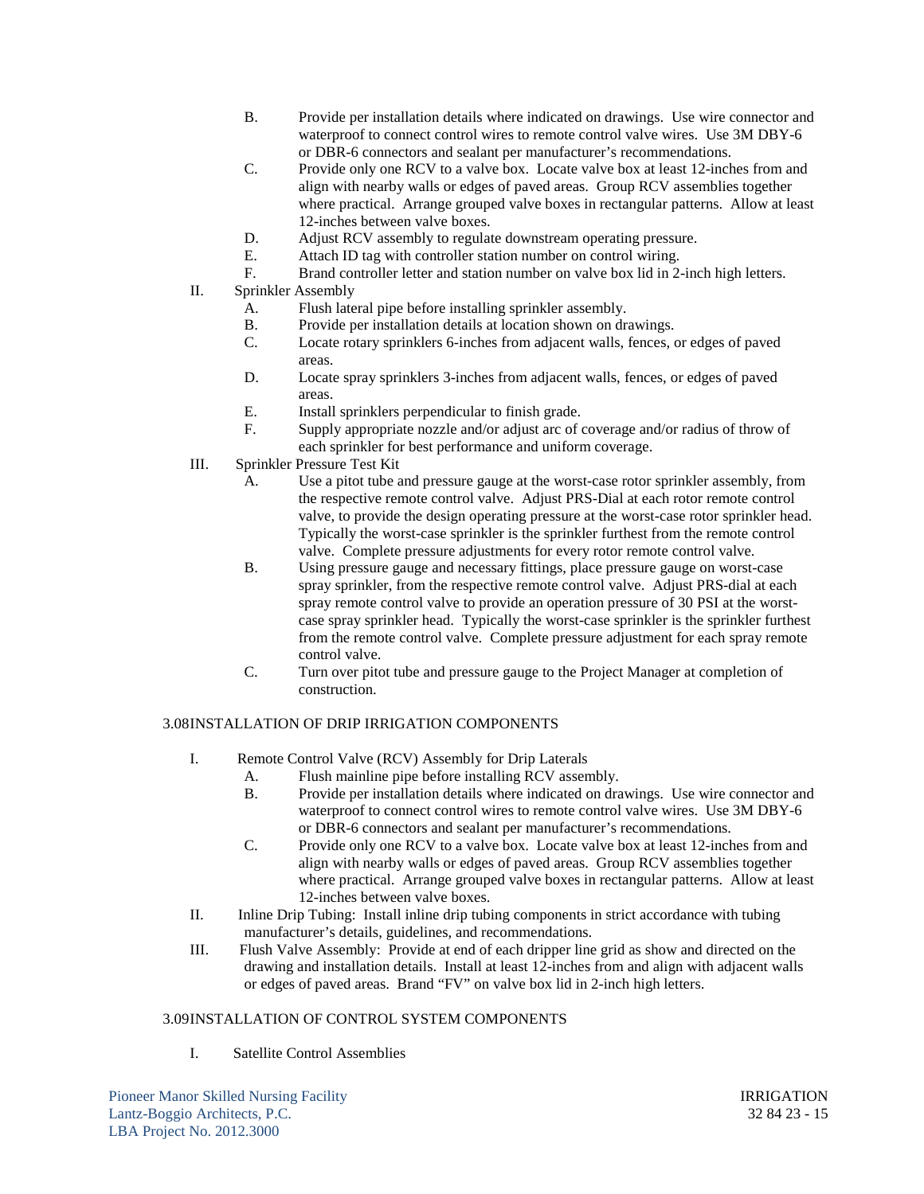- B. Provide per installation details where indicated on drawings. Use wire connector and waterproof to connect control wires to remote control valve wires. Use 3M DBY-6 or DBR-6 connectors and sealant per manufacturer's recommendations.
- C. Provide only one RCV to a valve box. Locate valve box at least 12-inches from and align with nearby walls or edges of paved areas. Group RCV assemblies together where practical. Arrange grouped valve boxes in rectangular patterns. Allow at least 12-inches between valve boxes.
- D. Adjust RCV assembly to regulate downstream operating pressure.
- E. Attach ID tag with controller station number on control wiring.
- F. Brand controller letter and station number on valve box lid in 2-inch high letters.
- II. Sprinkler Assembly
	- A. Flush lateral pipe before installing sprinkler assembly.
	- B. Provide per installation details at location shown on drawings.
	- C. Locate rotary sprinklers 6-inches from adjacent walls, fences, or edges of paved areas.
	- D. Locate spray sprinklers 3-inches from adjacent walls, fences, or edges of paved areas.
	- E. Install sprinklers perpendicular to finish grade.
	- F. Supply appropriate nozzle and/or adjust arc of coverage and/or radius of throw of each sprinkler for best performance and uniform coverage.
- III. Sprinkler Pressure Test Kit
	- A. Use a pitot tube and pressure gauge at the worst-case rotor sprinkler assembly, from the respective remote control valve. Adjust PRS-Dial at each rotor remote control valve, to provide the design operating pressure at the worst-case rotor sprinkler head. Typically the worst-case sprinkler is the sprinkler furthest from the remote control valve. Complete pressure adjustments for every rotor remote control valve.
	- B. Using pressure gauge and necessary fittings, place pressure gauge on worst-case spray sprinkler, from the respective remote control valve. Adjust PRS-dial at each spray remote control valve to provide an operation pressure of 30 PSI at the worstcase spray sprinkler head. Typically the worst-case sprinkler is the sprinkler furthest from the remote control valve. Complete pressure adjustment for each spray remote control valve.
	- C. Turn over pitot tube and pressure gauge to the Project Manager at completion of construction.

# 3.08INSTALLATION OF DRIP IRRIGATION COMPONENTS

- I. Remote Control Valve (RCV) Assembly for Drip Laterals
	- A. Flush mainline pipe before installing RCV assembly.
	- B. Provide per installation details where indicated on drawings. Use wire connector and waterproof to connect control wires to remote control valve wires. Use 3M DBY-6 or DBR-6 connectors and sealant per manufacturer's recommendations.
	- C. Provide only one RCV to a valve box. Locate valve box at least 12-inches from and align with nearby walls or edges of paved areas. Group RCV assemblies together where practical. Arrange grouped valve boxes in rectangular patterns. Allow at least 12-inches between valve boxes.
- II. Inline Drip Tubing: Install inline drip tubing components in strict accordance with tubing manufacturer's details, guidelines, and recommendations.
- III. Flush Valve Assembly: Provide at end of each dripper line grid as show and directed on the drawing and installation details. Install at least 12-inches from and align with adjacent walls or edges of paved areas. Brand "FV" on valve box lid in 2-inch high letters.

# 3.09INSTALLATION OF CONTROL SYSTEM COMPONENTS

I. Satellite Control Assemblies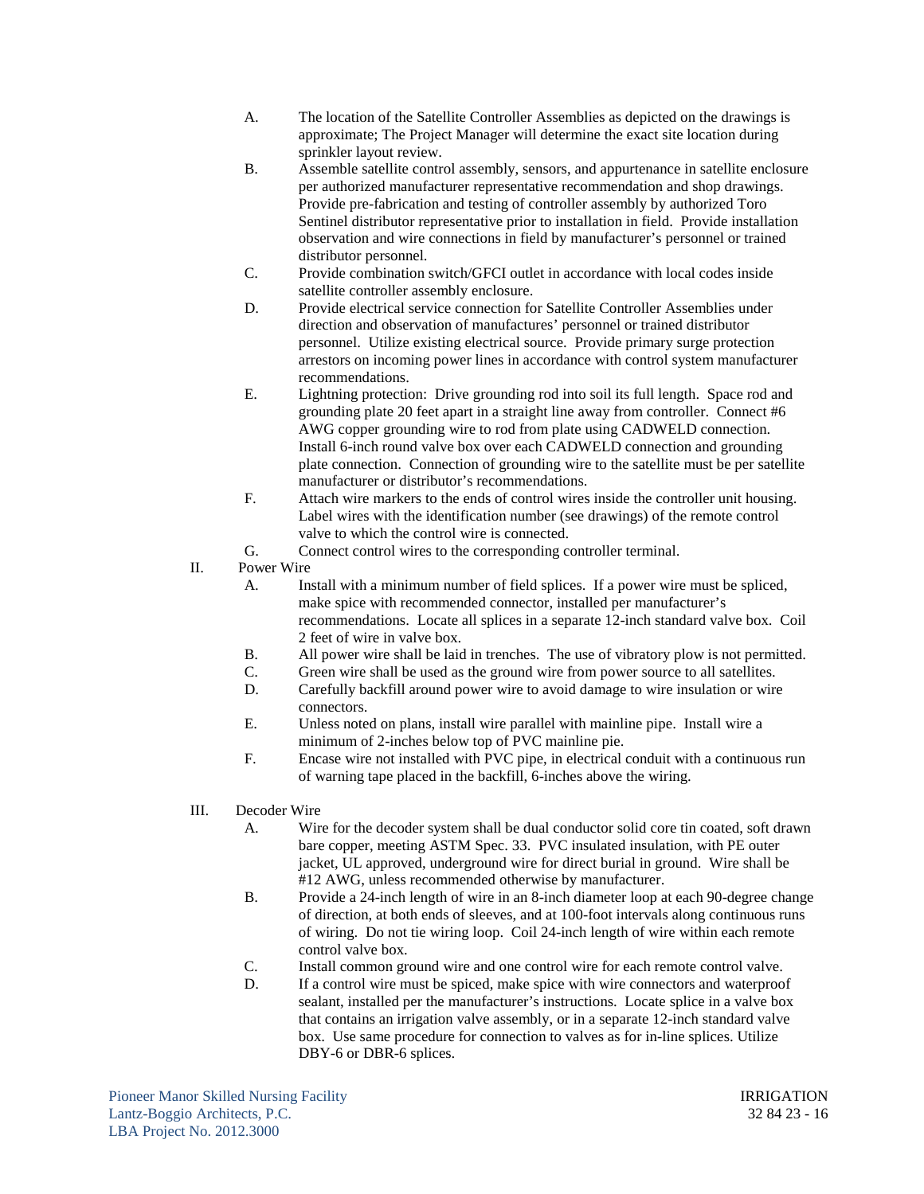- A. The location of the Satellite Controller Assemblies as depicted on the drawings is approximate; The Project Manager will determine the exact site location during sprinkler layout review.
- B. Assemble satellite control assembly, sensors, and appurtenance in satellite enclosure per authorized manufacturer representative recommendation and shop drawings. Provide pre-fabrication and testing of controller assembly by authorized Toro Sentinel distributor representative prior to installation in field. Provide installation observation and wire connections in field by manufacturer's personnel or trained distributor personnel.
- C. Provide combination switch/GFCI outlet in accordance with local codes inside satellite controller assembly enclosure.
- D. Provide electrical service connection for Satellite Controller Assemblies under direction and observation of manufactures' personnel or trained distributor personnel. Utilize existing electrical source. Provide primary surge protection arrestors on incoming power lines in accordance with control system manufacturer recommendations.
- E. Lightning protection: Drive grounding rod into soil its full length. Space rod and grounding plate 20 feet apart in a straight line away from controller. Connect #6 AWG copper grounding wire to rod from plate using CADWELD connection. Install 6-inch round valve box over each CADWELD connection and grounding plate connection. Connection of grounding wire to the satellite must be per satellite manufacturer or distributor's recommendations.
- F. Attach wire markers to the ends of control wires inside the controller unit housing. Label wires with the identification number (see drawings) of the remote control valve to which the control wire is connected.
- G. Connect control wires to the corresponding controller terminal.
- II. Power Wire
	- A. Install with a minimum number of field splices. If a power wire must be spliced, make spice with recommended connector, installed per manufacturer's recommendations. Locate all splices in a separate 12-inch standard valve box. Coil 2 feet of wire in valve box.
	- B. All power wire shall be laid in trenches. The use of vibratory plow is not permitted.
	- C. Green wire shall be used as the ground wire from power source to all satellites.
	- D. Carefully backfill around power wire to avoid damage to wire insulation or wire connectors.
	- E. Unless noted on plans, install wire parallel with mainline pipe. Install wire a minimum of 2-inches below top of PVC mainline pie.
	- F. Encase wire not installed with PVC pipe, in electrical conduit with a continuous run of warning tape placed in the backfill, 6-inches above the wiring.

# III. Decoder Wire

- A. Wire for the decoder system shall be dual conductor solid core tin coated, soft drawn bare copper, meeting ASTM Spec. 33. PVC insulated insulation, with PE outer jacket, UL approved, underground wire for direct burial in ground. Wire shall be #12 AWG, unless recommended otherwise by manufacturer.
- B. Provide a 24-inch length of wire in an 8-inch diameter loop at each 90-degree change of direction, at both ends of sleeves, and at 100-foot intervals along continuous runs of wiring. Do not tie wiring loop. Coil 24-inch length of wire within each remote control valve box.
- C. Install common ground wire and one control wire for each remote control valve.
- D. If a control wire must be spiced, make spice with wire connectors and waterproof sealant, installed per the manufacturer's instructions. Locate splice in a valve box that contains an irrigation valve assembly, or in a separate 12-inch standard valve box. Use same procedure for connection to valves as for in-line splices. Utilize DBY-6 or DBR-6 splices.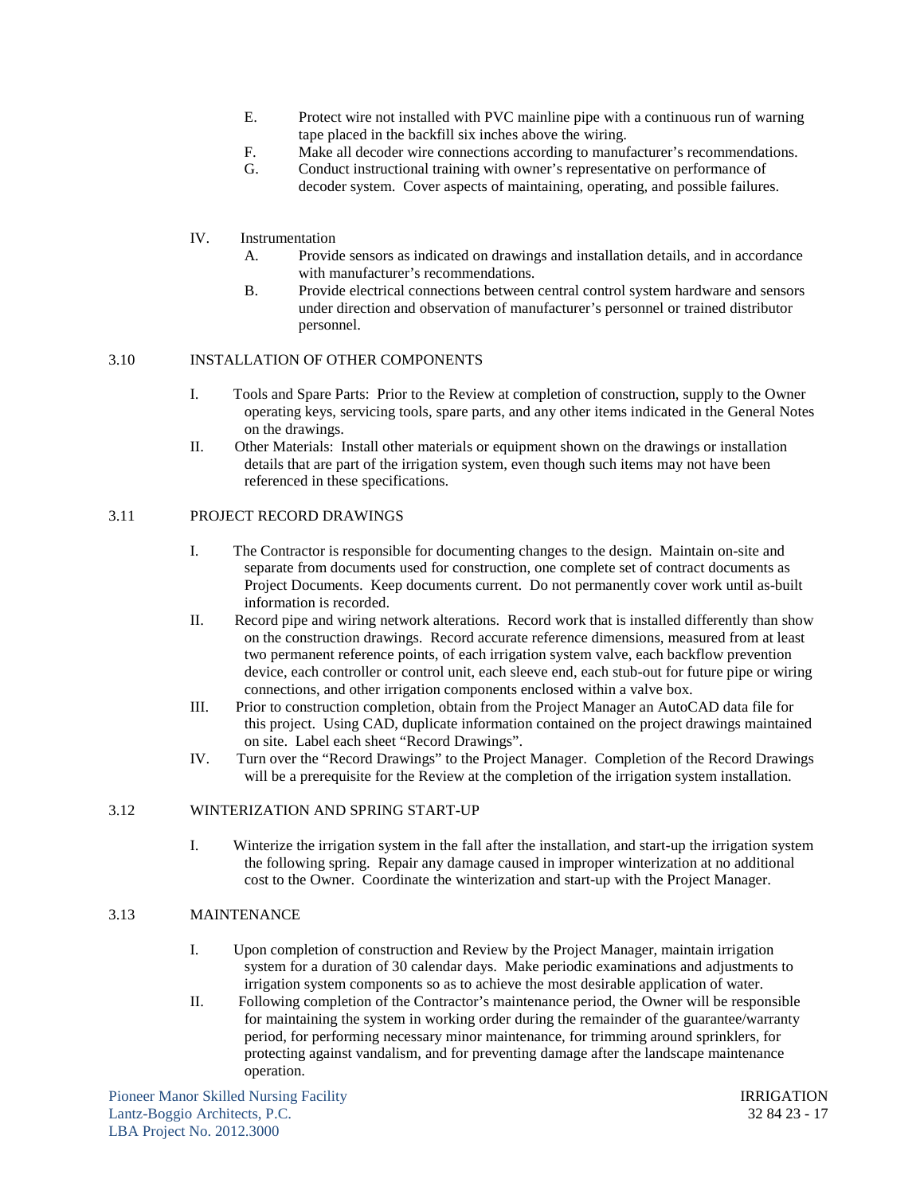- E. Protect wire not installed with PVC mainline pipe with a continuous run of warning tape placed in the backfill six inches above the wiring.
- F. Make all decoder wire connections according to manufacturer's recommendations.
- G. Conduct instructional training with owner's representative on performance of decoder system. Cover aspects of maintaining, operating, and possible failures.
- IV. Instrumentation
	- A. Provide sensors as indicated on drawings and installation details, and in accordance with manufacturer's recommendations.
	- B. Provide electrical connections between central control system hardware and sensors under direction and observation of manufacturer's personnel or trained distributor personnel.

#### 3.10 INSTALLATION OF OTHER COMPONENTS

- I. Tools and Spare Parts: Prior to the Review at completion of construction, supply to the Owner operating keys, servicing tools, spare parts, and any other items indicated in the General Notes on the drawings.
- II. Other Materials: Install other materials or equipment shown on the drawings or installation details that are part of the irrigation system, even though such items may not have been referenced in these specifications.

#### 3.11 PROJECT RECORD DRAWINGS

- I. The Contractor is responsible for documenting changes to the design. Maintain on-site and separate from documents used for construction, one complete set of contract documents as Project Documents. Keep documents current. Do not permanently cover work until as-built information is recorded.
- II. Record pipe and wiring network alterations. Record work that is installed differently than show on the construction drawings. Record accurate reference dimensions, measured from at least two permanent reference points, of each irrigation system valve, each backflow prevention device, each controller or control unit, each sleeve end, each stub-out for future pipe or wiring connections, and other irrigation components enclosed within a valve box.
- III. Prior to construction completion, obtain from the Project Manager an AutoCAD data file for this project. Using CAD, duplicate information contained on the project drawings maintained on site. Label each sheet "Record Drawings".
- IV. Turn over the "Record Drawings" to the Project Manager. Completion of the Record Drawings will be a prerequisite for the Review at the completion of the irrigation system installation.

#### 3.12 WINTERIZATION AND SPRING START-UP

I. Winterize the irrigation system in the fall after the installation, and start-up the irrigation system the following spring. Repair any damage caused in improper winterization at no additional cost to the Owner. Coordinate the winterization and start-up with the Project Manager.

#### 3.13 MAINTENANCE

- I. Upon completion of construction and Review by the Project Manager, maintain irrigation system for a duration of 30 calendar days. Make periodic examinations and adjustments to irrigation system components so as to achieve the most desirable application of water.
- II. Following completion of the Contractor's maintenance period, the Owner will be responsible for maintaining the system in working order during the remainder of the guarantee/warranty period, for performing necessary minor maintenance, for trimming around sprinklers, for protecting against vandalism, and for preventing damage after the landscape maintenance operation.